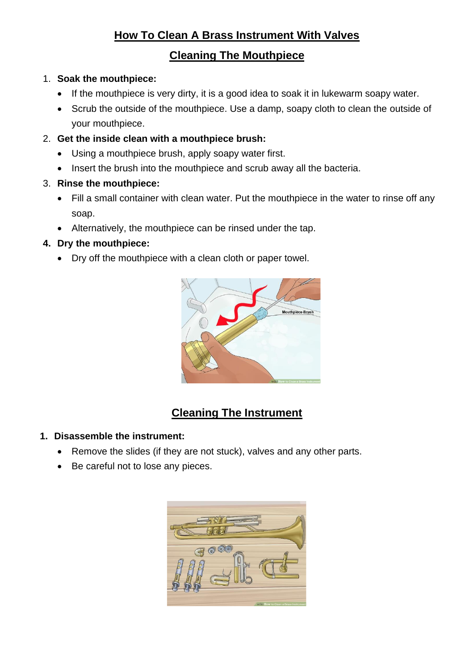# **How To Clean A Brass Instrument With Valves**

# **Cleaning The Mouthpiece**

### 1. **Soak the mouthpiece:**

- If the mouthpiece is very dirty, it is a good idea to soak it in lukewarm soapy water.
- Scrub the outside of the mouthpiece. Use a damp, soapy cloth to clean the outside of your mouthpiece.
- 2. **Get the inside clean with a mouthpiece brush:**
	- Using a mouthpiece brush, apply soapy water first.
	- Insert the brush into the mouthpiece and scrub away all the bacteria.
- 3. **Rinse the mouthpiece:**
	- Fill a small container with clean water. Put the mouthpiece in the water to rinse off any soap.
	- Alternatively, the mouthpiece can be rinsed under the tap.

### **4. Dry the mouthpiece:**

• Dry off the mouthpiece with a clean cloth or paper towel.



# **Cleaning The Instrument**

#### **1. Disassemble the instrument:**

- Remove the slides (if they are not stuck), valves and any other parts.
- Be careful not to lose any pieces.